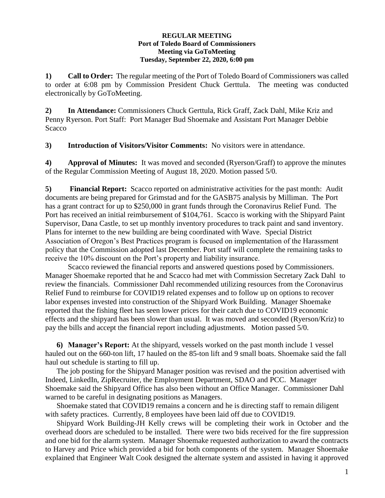## **REGULAR MEETING Port of Toledo Board of Commissioners Meeting via GoToMeeting Tuesday, September 22, 2020, 6:00 pm**

**1) Call to Order:** The regular meeting of the Port of Toledo Board of Commissioners was called to order at 6:08 pm by Commission President Chuck Gerttula. The meeting was conducted electronically by GoToMeeting.

**2) In Attendance:** Commissioners Chuck Gerttula, Rick Graff, Zack Dahl, Mike Kriz and Penny Ryerson. Port Staff: Port Manager Bud Shoemake and Assistant Port Manager Debbie **Scacco** 

**3) Introduction of Visitors/Visitor Comments:** No visitors were in attendance.

**4) Approval of Minutes:** It was moved and seconded (Ryerson/Graff) to approve the minutes of the Regular Commission Meeting of August 18, 2020. Motion passed 5/0.

**5) Financial Report:** Scacco reported on administrative activities for the past month: Audit documents are being prepared for Grimstad and for the GASB75 analysis by Milliman. The Port has a grant contract for up to \$250,000 in grant funds through the Coronavirus Relief Fund. The Port has received an initial reimbursement of \$104,761. Scacco is working with the Shipyard Paint Supervisor, Dana Castle, to set up monthly inventory procedures to track paint and sand inventory. Plans for internet to the new building are being coordinated with Wave. Special District Association of Oregon's Best Practices program is focused on implementation of the Harassment policy that the Commission adopted last December. Port staff will complete the remaining tasks to receive the 10% discount on the Port's property and liability insurance.

Scacco reviewed the financial reports and answered questions posed by Commissioners. Manager Shoemake reported that he and Scacco had met with Commission Secretary Zack Dahl to review the financials. Commissioner Dahl recommended utilizing resources from the Coronavirus Relief Fund to reimburse for COVID19 related expenses and to follow up on options to recover labor expenses invested into construction of the Shipyard Work Building. Manager Shoemake reported that the fishing fleet has seen lower prices for their catch due to COVID19 economic effects and the shipyard has been slower than usual. It was moved and seconded (Ryerson/Kriz) to pay the bills and accept the financial report including adjustments. Motion passed 5/0.

**6) Manager's Report:** At the shipyard, vessels worked on the past month include 1 vessel hauled out on the 660-ton lift, 17 hauled on the 85-ton lift and 9 small boats. Shoemake said the fall haul out schedule is starting to fill up.

The job posting for the Shipyard Manager position was revised and the position advertised with Indeed, LinkedIn, ZipRecruiter, the Employment Department, SDAO and PCC. Manager Shoemake said the Shipyard Office has also been without an Office Manager. Commissioner Dahl warned to be careful in designating positions as Managers.

Shoemake stated that COVID19 remains a concern and he is directing staff to remain diligent with safety practices. Currently, 8 employees have been laid off due to COVID19.

Shipyard Work Building-JH Kelly crews will be completing their work in October and the overhead doors are scheduled to be installed. There were two bids received for the fire suppression and one bid for the alarm system. Manager Shoemake requested authorization to award the contracts to Harvey and Price which provided a bid for both components of the system. Manager Shoemake explained that Engineer Walt Cook designed the alternate system and assisted in having it approved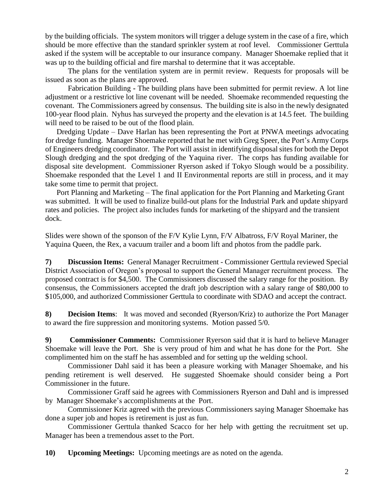by the building officials. The system monitors will trigger a deluge system in the case of a fire, which should be more effective than the standard sprinkler system at roof level. Commissioner Gerttula asked if the system will be acceptable to our insurance company. Manager Shoemake replied that it was up to the building official and fire marshal to determine that it was acceptable.

The plans for the ventilation system are in permit review. Requests for proposals will be issued as soon as the plans are approved.

Fabrication Building **-** The building plans have been submitted for permit review. A lot line adjustment or a restrictive lot line covenant will be needed. Shoemake recommended requesting the covenant. The Commissioners agreed by consensus. The building site is also in the newly designated 100-year flood plain. Nyhus has surveyed the property and the elevation is at 14.5 feet. The building will need to be raised to be out of the flood plain.

Dredging Update – Dave Harlan has been representing the Port at PNWA meetings advocating for dredge funding. Manager Shoemake reported that he met with Greg Speer, the Port's Army Corps of Engineers dredging coordinator. The Port will assist in identifying disposal sites for both the Depot Slough dredging and the spot dredging of the Yaquina river. The corps has funding available for disposal site development. Commissioner Ryerson asked if Tokyo Slough would be a possibility. Shoemake responded that the Level 1 and II Environmental reports are still in process, and it may take some time to permit that project.

Port Planning and Marketing – The final application for the Port Planning and Marketing Grant was submitted. It will be used to finalize build-out plans for the Industrial Park and update shipyard rates and policies. The project also includes funds for marketing of the shipyard and the transient dock.

Slides were shown of the sponson of the F/V Kylie Lynn, F/V Albatross, F/V Royal Mariner, the Yaquina Queen, the Rex, a vacuum trailer and a boom lift and photos from the paddle park.

**7) Discussion Items:** General Manager Recruitment - Commissioner Gerttula reviewed Special District Association of Oregon's proposal to support the General Manager recruitment process. The proposed contract is for \$4,500. The Commissioners discussed the salary range for the position. By consensus, the Commissioners accepted the draft job description with a salary range of \$80,000 to \$105,000, and authorized Commissioner Gerttula to coordinate with SDAO and accept the contract.

**8) Decision Items**: It was moved and seconded (Ryerson/Kriz) to authorize the Port Manager to award the fire suppression and monitoring systems. Motion passed 5/0.

**9) Commissioner Comments:** Commissioner Ryerson said that it is hard to believe Manager Shoemake will leave the Port. She is very proud of him and what he has done for the Port. She complimented him on the staff he has assembled and for setting up the welding school.

Commissioner Dahl said it has been a pleasure working with Manager Shoemake, and his pending retirement is well deserved. He suggested Shoemake should consider being a Port Commissioner in the future.

Commissioner Graff said he agrees with Commissioners Ryerson and Dahl and is impressed by Manager Shoemake's accomplishments at the Port.

Commissioner Kriz agreed with the previous Commissioners saying Manager Shoemake has done a super job and hopes is retirement is just as fun.

Commissioner Gerttula thanked Scacco for her help with getting the recruitment set up. Manager has been a tremendous asset to the Port.

**10) Upcoming Meetings:** Upcoming meetings are as noted on the agenda.